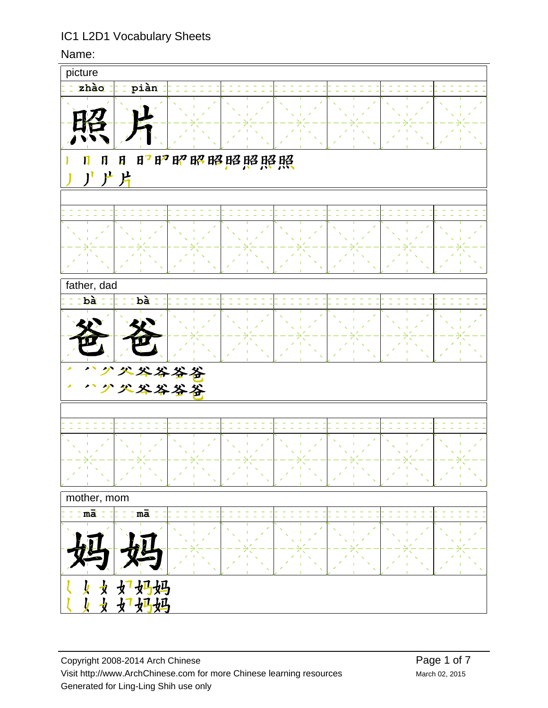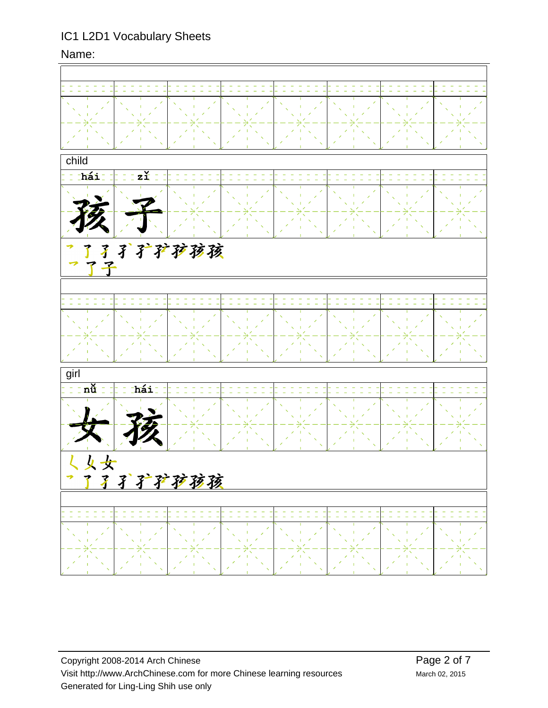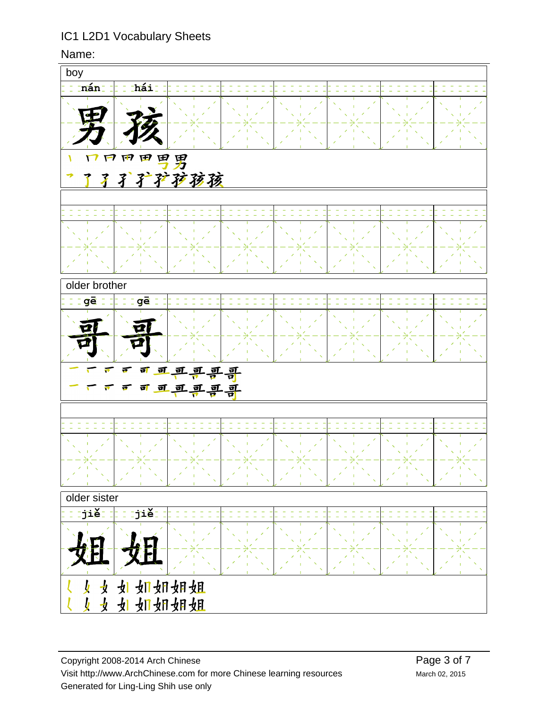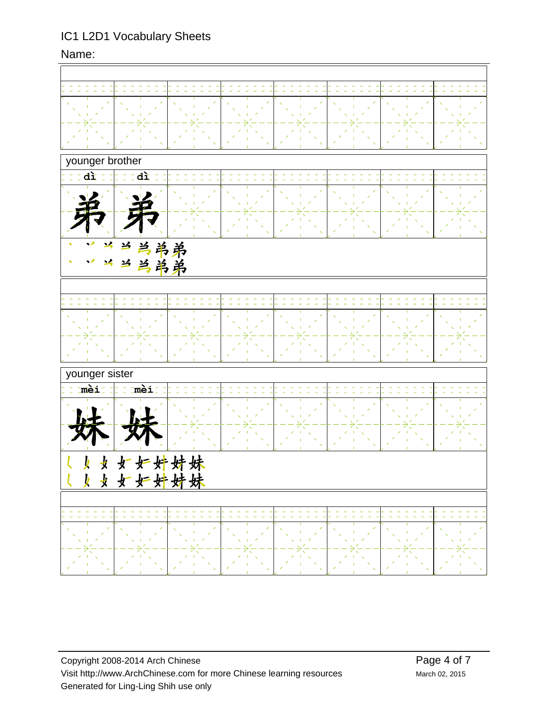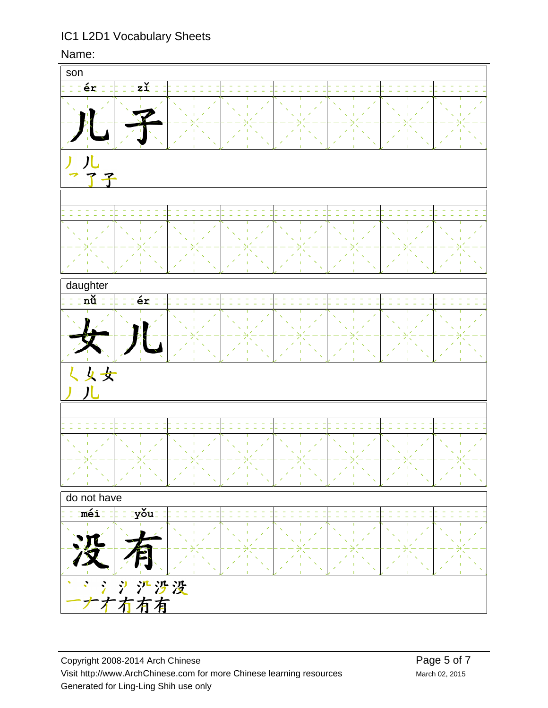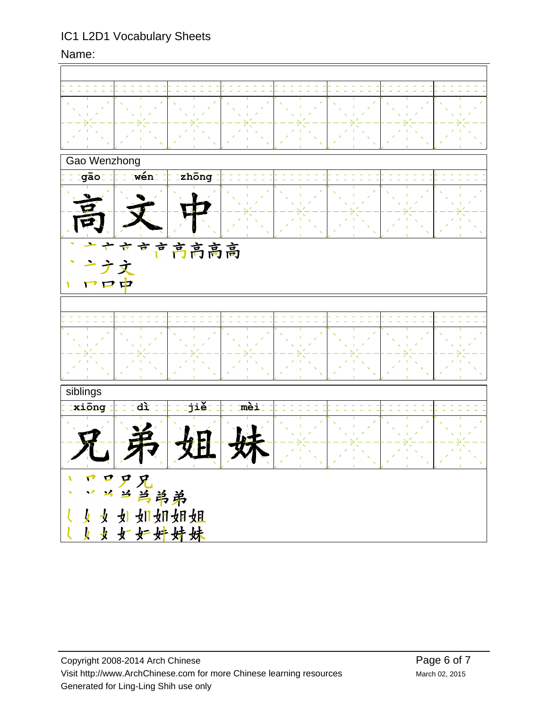